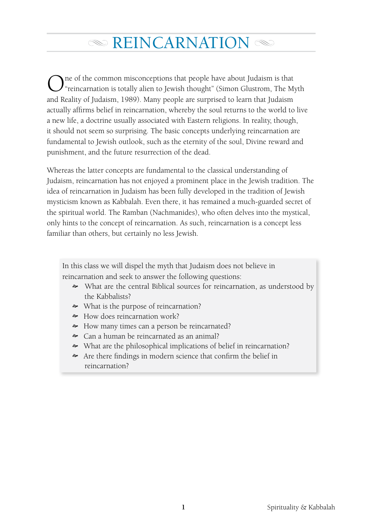# $\infty$  REINCARNATION  $\infty$

One of the common misconceptions that people have about Judaism is that "reincarnation is totally alien to Jewish thought" (Simon Glustrom, The Myth and Reality of Judaism, 1989). Many people are surprised to learn that Judaism actually affirms belief in reincarnation, whereby the soul returns to the world to live a new life, a doctrine usually associated with Eastern religions. In reality, though, it should not seem so surprising. The basic concepts underlying reincarnation are fundamental to Jewish outlook, such as the eternity of the soul, Divine reward and punishment, and the future resurrection of the dead.

Whereas the latter concepts are fundamental to the classical understanding of Judaism, reincarnation has not enjoyed a prominent place in the Jewish tradition. The idea of reincarnation in Judaism has been fully developed in the tradition of Jewish mysticism known as Kabbalah. Even there, it has remained a much-guarded secret of the spiritual world. The Ramban (Nachmanides), who often delves into the mystical, only hints to the concept of reincarnation. As such, reincarnation is a concept less familiar than others, but certainly no less Jewish.

In this class we will dispel the myth that Judaism does not believe in reincarnation and seek to answer the following questions:

- What are the central Biblical sources for reincarnation, as understood by the Kabbalists?
- What is the purpose of reincarnation?
- How does reincarnation work?
- How many times can a person be reincarnated?
- Can a human be reincarnated as an animal?
- What are the philosophical implications of belief in reincarnation?
- Are there findings in modern science that confirm the belief in reincarnation?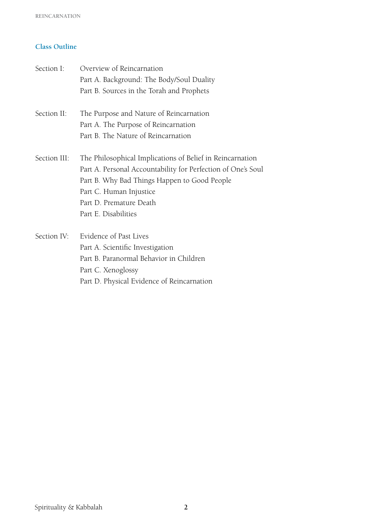# **Class Outline**

| Section I:   | Overview of Reincarnation                                    |
|--------------|--------------------------------------------------------------|
|              | Part A. Background: The Body/Soul Duality                    |
|              | Part B. Sources in the Torah and Prophets                    |
| Section II:  | The Purpose and Nature of Reincarnation                      |
|              | Part A. The Purpose of Reincarnation                         |
|              | Part B. The Nature of Reincarnation                          |
| Section III: | The Philosophical Implications of Belief in Reincarnation    |
|              | Part A. Personal Accountability for Perfection of One's Soul |
|              | Part B. Why Bad Things Happen to Good People                 |
|              | Part C. Human Injustice                                      |
|              | Part D. Premature Death                                      |
|              | Part E. Disabilities                                         |
| Section IV:  | Evidence of Past Lives                                       |
|              | Part A. Scientific Investigation                             |
|              | Part B. Paranormal Behavior in Children                      |
|              |                                                              |

Part C. Xenoglossy

Part D. Physical Evidence of Reincarnation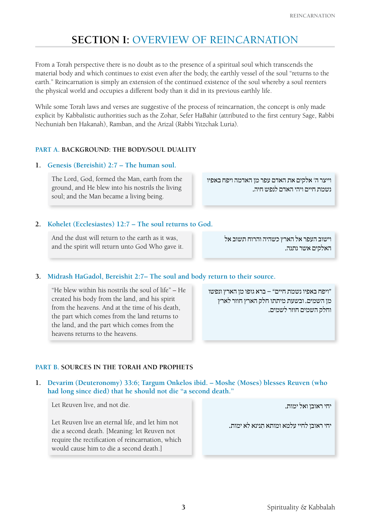# **Section I:** Overview of Reincarnation

From a Torah perspective there is no doubt as to the presence of a spiritual soul which transcends the material body and which continues to exist even after the body, the earthly vessel of the soul "returns to the earth." Reincarnation is simply an extension of the continued existence of the soul whereby a soul reenters the physical world and occupies a different body than it did in its previous earthly life.

While some Torah laws and verses are suggestive of the process of reincarnation, the concept is only made explicit by Kabbalistic authorities such as the Zohar, Sefer HaBahir (attributed to the first century Sage, Rabbi Nechuniah ben Hakanah), Ramban, and the Arizal (Rabbi Yitzchak Luria).

# **Part A. Background: The Body/Soul Duality**

# **1. Genesis (Bereishit) 2:7 – The human soul.**

The Lord, God, formed the Man, earth from the ground, and He blew into his nostrils the living soul; and the Man became a living being.

וייצר ה' אלקים את האדם עפר מן האדמה ויפח באפיו נשמת חיים ויהי האדם לנפש חיה.

# **2. Kohelet (Ecclesiastes) 12:7 – The soul returns to God.**

And the dust will return to the earth as it was, and the spirit will return unto God Who gave it.

וישוב העפר אל הארץ כשהיה והרוח תשוב אל האלקים אשר נתנה.

# **3. Midrash HaGadol, Bereishit 2:7– The soul and body return to their source.**

"He blew within his nostrils the soul of life" – He created his body from the land, and his spirit from the heavens. And at the time of his death, the part which comes from the land returns to the land, and the part which comes from the heavens returns to the heavens.

"ויפח באפיו נשמת חיים" – ברא גופו מן הארץ ונפשו מן השמים. ובשעת מיתתו חלק הארץ חוזר לארץ וחלק השמים חוזר לשמים.

# **Part B. Sources in the Torah and Prophets**

# **1. Devarim (Deuteronomy) 33:6; Targum Onkelos ibid. – Moshe (Moses) blesses Reuven (who had long since died) that he should not die "a second death."**

Let Reuven live, and not die.

Let Reuven live an eternal life, and let him not die a second death. [Meaning: let Reuven not require the rectification of reincarnation, which would cause him to die a second death.]

יחי ראובן ואל ימות.

יחי ראובן לחיי עלמא ומותא תנינא לא ימות.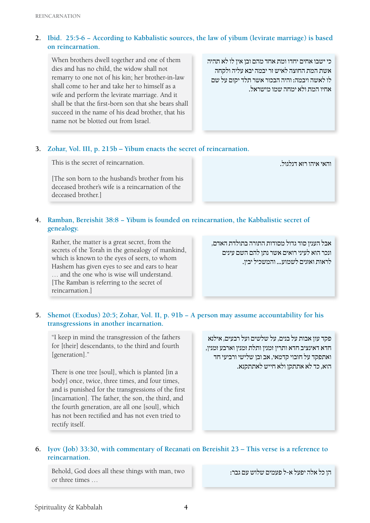# **2. Ibid. 25:5-6 − According to Kabbalistic sources, the law of yibum (levirate marriage) is based on reincarnation.**

When brothers dwell together and one of them dies and has no child, the widow shall not remarry to one not of his kin; her brother-in-law shall come to her and take her to himself as a wife and perform the levirate marriage. And it shall be that the first-born son that she bears shall succeed in the name of his dead brother, that his name not be blotted out from Israel.

כי ישבו אחים יחדו ומת אחד מהם ובן אין לו לא תהיה אשת המת החוצה לאיש זר יבמה יבא עליה ולקחה לו לאשה ויבמה: והיה הבכור אשר תלד יקום על שם אחיו המת ולא ימחה שמו מישראל.

# **3. Zohar, Vol. III, p. 215b – Yibum enacts the secret of reincarnation.**

This is the secret of reincarnation.

[The son born to the husband's brother from his deceased brother's wife is a reincarnation of the deceased brother.]

והאי איהו רזא דגלגול.

# **4. Ramban, Bereishit 38:8 − Yibum is founded on reincarnation, the Kabbalistic secret of genealogy.**

Rather, the matter is a great secret, from the secrets of the Torah in the genealogy of mankind, which is known to the eyes of seers, to whom Hashem has given eyes to see and ears to hear … and the one who is wise will understand. [The Ramban is referring to the secret of reincarnation.]

אבל הענין סוד גדול מסודות התורה בתולדת האדם, ונכר הוא לעיני רואים אשר נתן להם השם עינים לראות ואזנים לשמוע... והמשכיל יבין.

# **5. Shemot (Exodus) 20:5; Zohar, Vol. II, p. 91b − A person may assume accountability for his transgressions in another incarnation.**

"I keep in mind the transgression of the fathers for [their] descendants, to the third and fourth [generation]."

There is one tree [soul], which is planted [in a body] once, twice, three times, and four times, and is punished for the transgressions of the first [incarnation]. The father, the son, the third, and the fourth generation, are all one [soul], which has not been rectified and has not even tried to rectify itself.

פקד עון אבות על בנים, על שלשים ועל רבעים, אילנא חדא דאינציב חדא ותרין זמנין ותלת זמנין וארבע זמנין, ואתפקד על חובוי קדמאי, אב ובן שלישי ורביעי חד הוא, כד לא אתתקן ולא חייש לאתתקנא.

# **6. Iyov (Job) 33:30, with commentary of Recanati on Bereishit 23 – This verse is a reference to reincarnation.**

Behold, God does all these things with man, two or three times …

הן כל אלה יפעל א-ל פעמים שלוש עם גבר: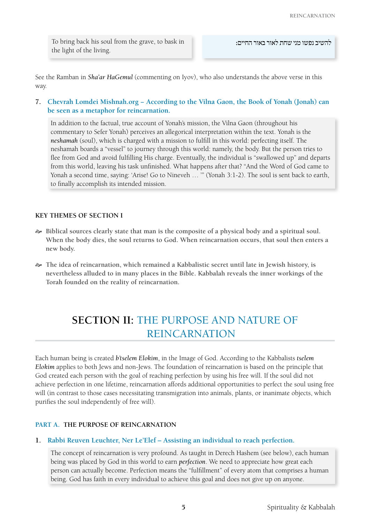To bring back his soul from the grave, to bask in the light of the living.

See the Ramban in *Sha'ar HaGemul* (commenting on Iyov), who also understands the above verse in this way.

# **7. Chevrah Lomdei Mishnah.org − According to the Vilna Gaon, the Book of Yonah (Jonah) can be seen as a metaphor for reincarnation.**

In addition to the factual, true account of Yonah's mission, the Vilna Gaon (throughout his commentary to Sefer Yonah) perceives an allegorical interpretation within the text. Yonah is the *neshamah* (soul), which is charged with a mission to fulfill in this world: perfecting itself. The neshamah boards a "vessel" to journey through this world: namely, the body. But the person tries to flee from God and avoid fulfilling His charge. Eventually, the individual is "swallowed up" and departs from this world, leaving his task unfinished. What happens after that? "And the Word of God came to Yonah a second time, saying: 'Arise! Go to Nineveh … '" (Yonah 3:1-2). The soul is sent back to earth, to finally accomplish its intended mission.

# **Key Themes of Section I**

- [ **Biblical sources clearly state that man is the composite of a physical body and a spiritual soul. When the body dies, the soul returns to God. When reincarnation occurs, that soul then enters a new body.**
- [ **The idea of reincarnation, which remained a Kabbalistic secret until late in Jewish history, is nevertheless alluded to in many places in the Bible. Kabbalah reveals the inner workings of the Torah founded on the reality of reincarnation.**

# **Section II:** The Purpose and Nature of Reincarnation

Each human being is created *b'tselem Elokim*, in the Image of God. According to the Kabbalists *tselem Elokim* applies to both Jews and non-Jews. The foundation of reincarnation is based on the principle that God created each person with the goal of reaching perfection by using his free will. If the soul did not achieve perfection in one lifetime, reincarnation affords additional opportunities to perfect the soul using free will (in contrast to those cases necessitating transmigration into animals, plants, or inanimate objects, which purifies the soul independently of free will).

# **Part A. The Purpose of Reincarnation**

# **1. Rabbi Reuven Leuchter, Ner Le'Elef – Assisting an individual to reach perfection.**

The concept of reincarnation is very profound. As taught in Derech Hashem (see below), each human being was placed by God in this world to earn *perfection*. We need to appreciate how great each person can actually become. Perfection means the "fulfillment" of every atom that comprises a human being. God has faith in every individual to achieve this goal and does not give up on anyone.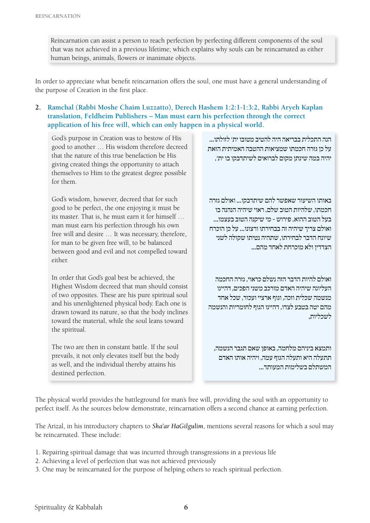Reincarnation can assist a person to reach perfection by perfecting different components of the soul that was not achieved in a previous lifetime; which explains why souls can be reincarnated as either human beings, animals, flowers or inanimate objects.

In order to appreciate what benefit reincarnation offers the soul, one must have a general understanding of the purpose of Creation in the first place.

**2. Ramchal (Rabbi Moshe Chaim Luzzatto), Derech Hashem 1:2:1-1:3:2, Rabbi Aryeh Kaplan translation, Feldheim Publishers – Man must earn his perfection through the correct application of his free will, which can only happen in a physical world.**

God's purpose in Creation was to bestow of His good to another … His wisdom therefore decreed that the nature of this true benefaction be His giving created things the opportunity to attach themselves to Him to the greatest degree possible for them.

God's wisdom, however, decreed that for such good to be perfect, the one enjoying it must be its master. That is, he must earn it for himself … man must earn his perfection through his own free will and desire … It was necessary, therefore, for man to be given free will, to be balanced between good and evil and not compelled toward either.

In order that God's goal best be achieved, the Highest Wisdom decreed that man should consist of two opposites. These are his pure spiritual soul and his unenlightened physical body. Each one is drawn toward its nature, so that the body inclines toward the material, while the soul leans toward the spiritual.

The two are then in constant battle. If the soul prevails, it not only elevates itself but the body as well, and the individual thereby attains his destined perfection.

הנה התכלית בבריאה היה להטיב מטובו ית' לזולתו... על כן גזרה חכמתו שמציאות ההטבה האמיתית הזאת יהיה במה שינתן מקום לברואים לשיתדבקו בו ית',

באותו השיעור שאפשר להם שיתדבקו... ואולם גזרה חכמתו, שלהיות הטוב שלם, ראוי שיהיה הנהנה בו בעל הטוב ההוא. פירוש - מי שיקנה הטוב בעצמו... ואולם צריך שיהיה זה בבחירתו ורצונו... על כן הוכרח שיונח הדבר לבחירתו, שתהיה נטיתו שקולה לשני הצדדין ולא מוכרחת לאחד מהם...

ואולם להיות הדבר הזה נשלם כראוי, גזרה החכמה העליונה שיהיה האדם מורכב משני הפכים, דהיינו מנשמה שכלית וזכה, וגוף ארציי ועכור, שכל אחד מהם יטה בטבע לצדו, דהיינו הגוף לחומריות והנשמה לשכליות,

ותמצא ביניהם מלחמה, באופן שאם תגבר הנשמה, תתעלה היא ותעלה הגוף עמה, ויהיה אותו האדם המשתלם בשלימות המעותד...

The physical world provides the battleground for man's free will, providing the soul with an opportunity to perfect itself. As the sources below demonstrate, reincarnation offers a second chance at earning perfection.

The Arizal, in his introductory chapters to *Sha'ar HaGilgulim*, mentions several reasons for which a soul may be reincarnated. These include:

- 1. Repairing spiritual damage that was incurred through transgressions in a previous life
- 2. Achieving a level of perfection that was not achieved previously
- 3. One may be reincarnated for the purpose of helping others to reach spiritual perfection.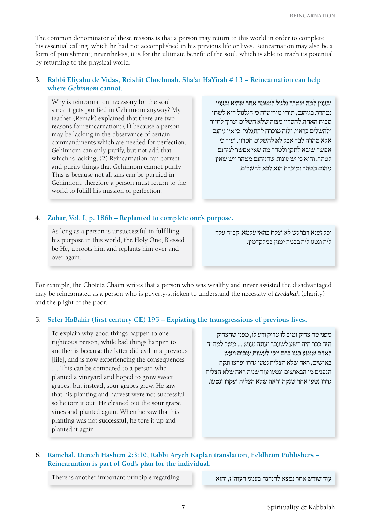The common denominator of these reasons is that a person may return to this world in order to complete his essential calling, which he had not accomplished in his previous life or lives. Reincarnation may also be a form of punishment; nevertheless, it is for the ultimate benefit of the soul, which is able to reach its potential by returning to the physical world.

# **3. Rabbi Eliyahu de Vidas, Reishit Chochmah, Sha'ar HaYirah # 13 − Reincarnation can help where** *Gehinnom* **cannot.**

Why is reincarnation necessary for the soul since it gets purified in Gehinnom anyway? My teacher (Remak) explained that there are two reasons for reincarnation: (1) because a person may be lacking in the observance of certain commandments which are needed for perfection. Gehinnom can only purify, but not add that which is lacking; (2) Reincarnation can correct and purify things that Gehinnom cannot purify. This is because not all sins can be purified in Gehinnom; therefore a person must return to the world to fulfill his mission of perfection.

ובענין למה יצטרך גלגול לנשמה אחר שהיא ובענין נטהרת בגיהנם, תירץ מורי ע"ה כי הגלגול הוא לשתי סבות האחת לחסרון מצוה שלא השלים וצריך לחזור ולהשלים כראוי, ולזה מוכרח להתגלגל, כי אין גיהנם אלא טהרה לבד אבל לא להשלים חסרון. ועוד כי אפשר שיבא לתקן ולטהר מה שאי אפשר לגיהנם לטהר. והוא כי יש עונות שהגיהנם מטהר ויש שאין גיהנם מטהר ומוכרח הוא לבא להשלים.

# **4. Zohar, Vol. I, p. 186b – Replanted to complete one's purpose.**

As long as a person is unsuccessful in fulfilling his purpose in this world, the Holy One, Blessed be He, uproots him and replants him over and over again.

וכל זמנא דבר נש לא יצלח בהאי עלמא, קב"ה עקר ליה ונטע ליה בכמה זמנין כמלקדמין.

For example, the Chofetz Chaim writes that a person who was wealthy and never assisted the disadvantaged may be reincarnated as a person who is poverty-stricken to understand the necessity of *tzedakah* (charity) and the plight of the poor.

### **5. Sefer HaBahir (first century CE) 195 – Expiating the transgressions of previous lives.**

To explain why good things happen to one righteous person, while bad things happen to another is because the latter did evil in a previous [life], and is now experiencing the consequences … This can be compared to a person who planted a vineyard and hoped to grow sweet grapes, but instead, sour grapes grew. He saw that his planting and harvest were not successful so he tore it out. He cleaned out the sour grape vines and planted again. When he saw that his planting was not successful, he tore it up and planted it again.

מפני מה צדיק וטוב לו צדיק ורע לו, מפני שהצדיק הזה כבר היה רשע לשעבר ועתה נענש ... משל למה"ד לאדם שנטע בגנו כרם ויקו לעשות ענבים ויעש באושים, ראה שלא הצליח נטעו גדרו ופרצו ונקה הגפנים מן הבאושים ונטעו עוד שנית ראה שלא הצליח גדרו נטעו אחר שנקה וראה שלא הצליח ועקרו ונטעו.

# **6. Ramchal, Derech Hashem 2:3:10, Rabbi Aryeh Kaplan translation, Feldheim Publishers – Reincarnation is part of God's plan for the individual.**

עוד שורש אחר נמצא להנהגה בעניני העוה"ז, והוא refere is another important principle regarding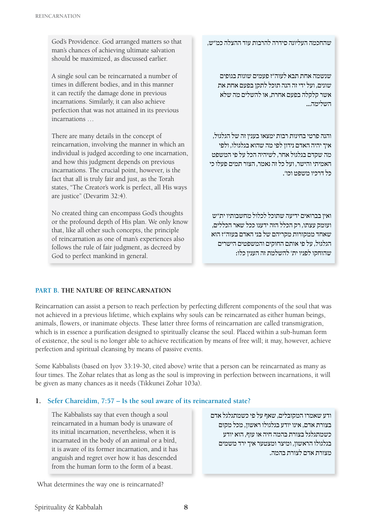God's Providence. God arranged matters so that man's chances of achieving ultimate salvation should be maximized, as discussed earlier.

A single soul can be reincarnated a number of times in different bodies, and in this manner it can rectify the damage done in previous incarnations. Similarly, it can also achieve perfection that was not attained in its previous incarnations …

There are many details in the concept of reincarnation, involving the manner in which an individual is judged according to one incarnation, and how this judgment depends on previous incarnations. The crucial point, however, is the fact that all is truly fair and just, as the Torah states, "The Creator's work is perfect, all His ways are justice" (Devarim 32:4).

No created thing can encompass God's thoughts or the profound depth of His plan. We only know that, like all other such concepts, the principle of reincarnation as one of man's experiences also follows the rule of fair judgment, as decreed by God to perfect mankind in general.

שהחכמה העליונה סידרה להרבות עוד ההצלה כמ"ש,

שנשמה אחת תבא לעוה"ז פעמים שונות בגופים שונים, ועל ידי זה הנה תוכל לתקן בפעם אחת את אשר קלקלה בפעם אחרת, או להשלים מה שלא השלימה...

והנה פרטי בחינות רבות ימצאו בענין זה של הגלגול, איך יהיה האדם נידון לפי מה שהוא בגלגולו, ולפי מה שקדם בגלגול אחר, לשיהיה הכל על פי המשפט האמיתי והישר, ועל כל זה נאמר, הצור תמים פעלו כי כל דרכיו משפט וכו'.

ואין בברואים ידיעה שתוכל לכלול מחשבותיו ית"ש ועומק עצתו, רק הכלל הזה ידענו ככל שאר הכללים, שאחד ממקורות מקריהם של בני האדם בעוה"ז הוא הגלגול, על פי אותם החוקים והמשפטים הישרים שהוחקו לפניו ית' להשלמת זה הענין כלו:

# **Part B. The Nature of Reincarnation**

Reincarnation can assist a person to reach perfection by perfecting different components of the soul that was not achieved in a previous lifetime, which explains why souls can be reincarnated as either human beings, animals, flowers, or inanimate objects. These latter three forms of reincarnation are called transmigration, which is in essence a purification designed to spiritually cleanse the soul. Placed within a sub-human form of existence, the soul is no longer able to achieve rectification by means of free will; it may, however, achieve perfection and spiritual cleansing by means of passive events.

Some Kabbalists (based on Iyov 33:19-30, cited above) write that a person can be reincarnated as many as four times. The Zohar relates that as long as the soul is improving in perfection between incarnations, it will be given as many chances as it needs (Tikkunei Zohar 103a).

# **1. Sefer Chareidim, 7:57 – Is the soul aware of its reincarnated state?**

The Kabbalists say that even though a soul reincarnated in a human body is unaware of its initial incarnation, nevertheless, when it is incarnated in the body of an animal or a bird, it is aware of its former incarnation, and it has anguish and regret over how it has descended from the human form to the form of a beast.

ודע שאמרו המקובלים, שאף על פי כשמתגלגל אדם בצורת אדם, אינו יודע בגלגולו ראשון, מכל מקום כשמתגלגל בצורת בהמה חיה או עוף, הוא יודע בגלגולו הראשון, ומיצר ומצטער איך ירד משמים מצורת אדם לצורת בהמה.

What determines the way one is reincarnated?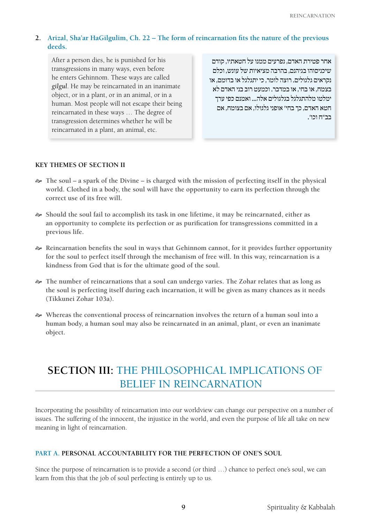# **2. Arizal, Sha'ar HaGilgulim, Ch. 22 – The form of reincarnation fits the nature of the previous deeds.**

After a person dies, he is punished for his transgressions in many ways, even before he enters Gehinnom. These ways are called *gilgul*. He may be reincarnated in an inanimate object, or in a plant, or in an animal, or in a human. Most people will not escape their being reincarnated in these ways … The degree of transgression determines whether he will be reincarnated in a plant, an animal, etc.

אחר פטירת האדם, נפרעים ממנו על חטאתיו, קודם שיכניסוהו בגיהנם, בהרבה מציאיות של עונש, וכלם נקראים גלגולים. רוצה לומר, כי יתגלגל או בדומם, או בצמח, או בחי, או במדבר. וכמעט רוב בני האדם לא ימלטו מלהתגלגל בגלגולים אלה... ואמנם כפי ערך חטא האדם, כך בחי' אופני גלגולו, אם בצומח, אם בב"ח וכו'.

### **Key Themes of Section II**

- [ **The soul a spark of the Divine is charged with the mission of perfecting itself in the physical world. Clothed in a body, the soul will have the opportunity to earn its perfection through the correct use of its free will.**
- [ **Should the soul fail to accomplish its task in one lifetime, it may be reincarnated, either as an opportunity to complete its perfection or as purification for transgressions committed in a previous life.**
- [ **Reincarnation benefits the soul in ways that Gehinnom cannot, for it provides further opportunity for the soul to perfect itself through the mechanism of free will. In this way, reincarnation is a kindness from God that is for the ultimate good of the soul.**
- [ **The number of reincarnations that a soul can undergo varies. The Zohar relates that as long as the soul is perfecting itself during each incarnation, it will be given as many chances as it needs (Tikkunei Zohar 103a).**
- [ **Whereas the conventional process of reincarnation involves the return of a human soul into a human body, a human soul may also be reincarnated in an animal, plant, or even an inanimate object.**

# **Section III:** The Philosophical Implications of Belief in Reincarnation

Incorporating the possibility of reincarnation into our worldview can change our perspective on a number of issues. The suffering of the innocent, the injustice in the world, and even the purpose of life all take on new meaning in light of reincarnation.

#### **Part A. Personal Accountability for the Perfection of One's Soul**

Since the purpose of reincarnation is to provide a second (or third ...) chance to perfect one's soul, we can learn from this that the job of soul perfecting is entirely up to us.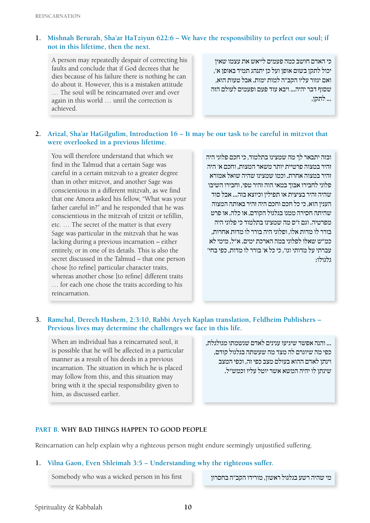# **1. Mishnah Berurah, Sha'ar HaTziyun 622:6 – We have the responsibility to perfect our soul; if not in this lifetime, then the next.**

A person may repeatedly despair of correcting his faults and conclude that if God decrees that he dies because of his failure there is nothing he can do about it. However, this is a mistaken attitude … The soul will be reincarnated over and over again in this world … until the correction is achieved.

כי האדם חושב כמה פעמים לייאש את עצמו שאין יכול לתקן בשום אופן ועל כן יתנהג תמיד באופן א', ואם יגזור עליו הקב"ה למות ימות. אבל טעות הוא, שסוף דבר יהיה... ויבא עוד פעם ופעמים לעולם הזה ... לתקן,

# **2. Arizal, Sha'ar HaGilgulim, Introduction 16 − It may be our task to be careful in mitzvot that were overlooked in a previous lifetime.**

You will therefore understand that which we find in the Talmud that a certain Sage was careful in a certain mitzvah to a greater degree than in other mitzvot, and another Sage was conscientious in a different mitzvah, as we find that one Amora asked his fellow, "What was your father careful in?" and he responded that he was conscientious in the mitzvah of tzitzit or tefillin, etc. … The secret of the matter is that every Sage was particular in the mitzvah that he was lacking during a previous incarnation – either entirely, or in one of its details. This is also the secret discussed in the Talmud – that one person chose [to refine] particular character traits, whereas another chose [to refine] different traits … for each one chose the traits according to his reincarnation.

ובזה יתבאר לך מה שמצינו בתלמוד, כי חכם פלוני היה זהיר במצוה פרטיית יותר משאר המצות, וחכם א' היה זהיר במצוה אחרת. וכמו שמצינו שהיה שואל אמורא פלוני לחבירו אבוך במאי הוה זהיר טפי, וחבירו השיבו שהיה זהיר בציצית או תפילין וכיוצא בזה... אבל סוד הענין הוא, כי כל חכם וחכם היה זהיר באותה המצוה שהיתה חסירה ממנו בגלגול הקודם, או כלה, או פרט מפרטיה. וגם ז"ס מה שמצינו בתלמוד כי פלוני היה בורר לו מדות אלו, ופלוני היה בורר לו מדות אחרות, כמ"ש שאלו לפלוני במה הארכת ימים. א"ל, מימי לא עברתי על מדותי וגו', כי כל א' בורר לו מדות, כפי בחי' גלגולו:

# **3. Ramchal, Derech Hashem, 2:3:10, Rabbi Aryeh Kaplan translation, Feldheim Publishers – Previous lives may determine the challenges we face in this life.**

When an individual has a reincarnated soul, it is possible that he will be affected in a particular manner as a result of his deeds in a previous incarnation. The situation in which he is placed may follow from this, and this situation may bring with it the special responsibility given to him, as discussed earlier*.*

... והנה אפשר שיגיעו ענינים לאדם שנשמתו מגולגלת, כפי מה שיוגרם לה מצד מה שעשתה בגלגול קודם, וינתן לאדם ההוא בעולם מצב כפי זה, וכפי המצב שינתן לו יהיה המשא אשר יוטל עליו וכמש"ל.

#### **Part B. Why Bad Things Happen To Good People**

Reincarnation can help explain why a righteous person might endure seemingly unjustified suffering.

#### **1. Vilna Gaon, Even Shleimah 3:5 − Understanding why the righteous suffer.**

Somebody who was a wicked person in his first והקב"ה בחסרון האשון, מורידו הקב"ה בחסרון היי שהיה רשע הגלגול הא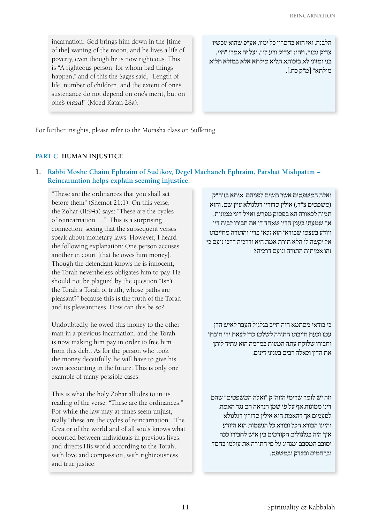incarnation, God brings him down in the [time of the] waning of the moon, and he lives a life of poverty, even though he is now righteous. This is "A righteous person, for whom bad things happen," and of this the Sages said, "Length of life, number of children, and the extent of one's sustenance do not depend on one's merit, but on one's *mazal*" (Moed Katan 28a).

הלבנה, ואז הוא בחסרון כל ימיו, אע"פ שהוא עכשיו צדיק גמור, וזהו: "צדיק ורע לו", ועל זה אמרו "חיי, בני ומזוני לא בזכותא תליא מילתא אלא במזלא תליא מילתא" ]מ"ק כח.[.

For further insights, please refer to the Morasha class on Suffering.

### **Part C. Human Injustice**

**1. Rabbi Moshe Chaim Ephraim of Sudikov, Degel Machaneh Ephraim, Parshat Mishpatim − Reincarnation helps explain seeming injustice.**

"These are the ordinances that you shall set before them" (Shemot 21:1). On this verse, the Zohar (II:94a) says: "These are the cycles of reincarnation …" This is a surprising connection, seeing that the subsequent verses speak about monetary laws. However, I heard the following explanation: One person accuses another in court [that he owes him money]. Though the defendant knows he is innocent, the Torah nevertheless obligates him to pay. He should not be plagued by the question "Isn't the Torah a Torah of truth, whose paths are pleasant?" because this *is* the truth of the Torah and its pleasantness. How can this be so?

Undoubtedly, he owed this money to the other man in a previous incarnation, and the Torah is now making him pay in order to free him from this debt. As for the person who took the money deceitfully, he will have to give his own accounting in the future. This is only one example of many possible cases.

This is what the holy Zohar alludes to in its reading of the verse: "These are the ordinances." For while the law may at times seem unjust, really "these are the cycles of reincarnation." The Creator of the world and of all souls knows what occurred between individuals in previous lives, and directs His world according to the Torah, with love and compassion, with righteousness and true justice.

ואלה המשפטים אשר תשים לפניהם. איתא בזוה"ק (משפטים צ"ד.) אילין סדורין דגלגולא עיין שם. והוא תמוה לכאורה הא בפסוק מפרש ואזיל דיני ממונות, אך שמעתי בענין הדין שאחד דן את חבירו לבית דין ויודע בעצמו שבודאי הוא זכאי בדין והתורה מחייבתו אל יקשה לו הלא תורת אמת היא ודרכיה דרכי נועם כי זהו אמיתות התורה ונועם דרכיה?

כי בודאי מסתמא היה חייב בגלגול העבר לאיש הדן עמו וכעת חייבתו התורה לשלמו כדי לצאת ידי חובתו וחבירו שלוקח עתה המעות במרמה הוא עתיד ליתן את הדין וכאלה רבים בעניני דינים,

וזה יש לומר שרימז הזוה"ק "ואלה המשפטים" שהם דיני ממונות אף על פי שמן הנראה הם נגד האמת לפעמים אך דהאמת הוא אילין סדורין דגלגולא והיינו הבורא הכל ובורא כל הנשמות הוא היודע איך היה בגלגולים הקודמים בין איש לחבירו ככה יסובב המסבב ומנהיג על פי התורה את עולמו בחסד וברחמים ובצדק ובמשפט.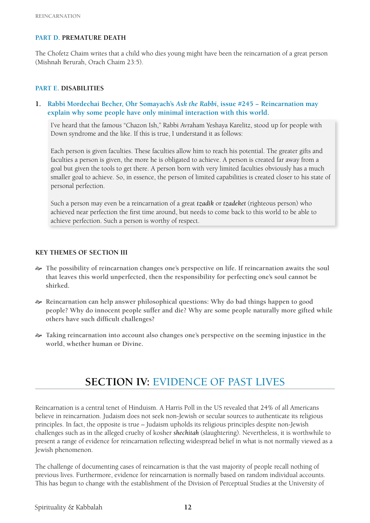# **Part D. Premature Death**

The Chofetz Chaim writes that a child who dies young might have been the reincarnation of a great person (Mishnah Berurah, Orach Chaim 23:5).

#### **Part E. Disabilities**

**1. Rabbi Mordechai Becher, Ohr Somayach's** *Ask the Rabbi***, issue #245 − Reincarnation may explain why some people have only minimal interaction with this world.**

I've heard that the famous "Chazon Ish," Rabbi Avraham Yeshaya Karelitz, stood up for people with Down syndrome and the like. If this is true, I understand it as follows:

Each person is given faculties. These faculties allow him to reach his potential. The greater gifts and faculties a person is given, the more he is obligated to achieve. A person is created far away from a goal but given the tools to get there. A person born with very limited faculties obviously has a much smaller goal to achieve. So, in essence, the person of limited capabilities is created closer to his state of personal perfection.

Such a person may even be a reincarnation of a great *tzadik* or *tzadeket* (righteous person) who achieved near perfection the first time around, but needs to come back to this world to be able to achieve perfection. Such a person is worthy of respect.

#### **Key Themes of Section III**

- [ **The possibility of reincarnation changes one's perspective on life. If reincarnation awaits the soul that leaves this world unperfected, then the responsibility for perfecting one's soul cannot be shirked.**
- [ **Reincarnation can help answer philosophical questions: Why do bad things happen to good people? Why do innocent people suffer and die? Why are some people naturally more gifted while others have such difficult challenges?**
- [ **Taking reincarnation into account also changes one's perspective on the seeming injustice in the world, whether human or Divine.**

# **Section IV:** Evidence of Past Lives

Reincarnation is a central tenet of Hinduism. A Harris Poll in the US revealed that 24% of all Americans believe in reincarnation. Judaism does not seek non-Jewish or secular sources to authenticate its religious principles. In fact, the opposite is true – Judaism upholds its religious principles despite non-Jewish challenges such as in the alleged cruelty of kosher *shechitah* (slaughtering). Nevertheless, it is worthwhile to present a range of evidence for reincarnation reflecting widespread belief in what is not normally viewed as a Jewish phenomenon.

The challenge of documenting cases of reincarnation is that the vast majority of people recall nothing of previous lives. Furthermore, evidence for reincarnation is normally based on random individual accounts. This has begun to change with the establishment of the Division of Perceptual Studies at the University of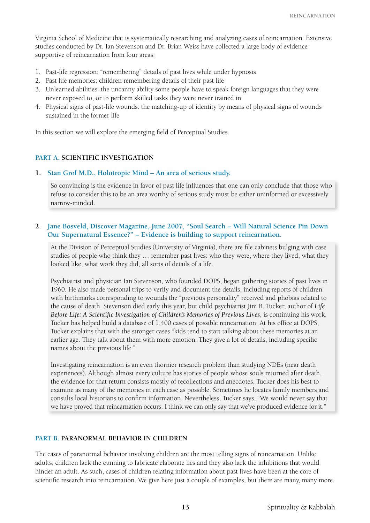Virginia School of Medicine that is systematically researching and analyzing cases of reincarnation. Extensive studies conducted by Dr. Ian Stevenson and Dr. Brian Weiss have collected a large body of evidence supportive of reincarnation from four areas:

- 1. Past-life regression: "remembering" details of past lives while under hypnosis
- 2. Past life memories: children remembering details of their past life
- 3. Unlearned abilities: the uncanny ability some people have to speak foreign languages that they were never exposed to, or to perform skilled tasks they were never trained in
- 4. Physical signs of past-life wounds: the matching-up of identity by means of physical signs of wounds sustained in the former life

In this section we will explore the emerging field of Perceptual Studies.

### **Part A. Scientific Investigation**

#### **1. Stan Grof M.D., Holotropic Mind – An area of serious study.**

So convincing is the evidence in favor of past life influences that one can only conclude that those who refuse to consider this to be an area worthy of serious study must be either uninformed or excessively narrow-minded.

# **2. Jane Bosveld, Discover Magazine, June 2007, "Soul Search − Will Natural Science Pin Down Our Supernatural Essence?" − Evidence is building to support reincarnation.**

At the Division of Perceptual Studies (University of Virginia), there are file cabinets bulging with case studies of people who think they … remember past lives: who they were, where they lived, what they looked like, what work they did, all sorts of details of a life.

Psychiatrist and physician Ian Stevenson, who founded DOPS, began gathering stories of past lives in 1960. He also made personal trips to verify and document the details, including reports of children with birthmarks corresponding to wounds the "previous personality" received and phobias related to the cause of death. Stevenson died early this year, but child psychiatrist Jim B. Tucker, author of *Life Before Life: A Scientific Investigation of Children's Memories of Previous Lives*, is continuing his work. Tucker has helped build a database of 1,400 cases of possible reincarnation. At his office at DOPS, Tucker explains that with the stronger cases "kids tend to start talking about these memories at an earlier age. They talk about them with more emotion. They give a lot of details, including specific names about the previous life."

Investigating reincarnation is an even thornier research problem than studying NDEs (near death experiences). Although almost every culture has stories of people whose souls returned after death, the evidence for that return consists mostly of recollections and anecdotes. Tucker does his best to examine as many of the memories in each case as possible. Sometimes he locates family members and consults local historians to confirm information. Nevertheless, Tucker says, "We would never say that we have proved that reincarnation occurs. I think we can only say that we've produced evidence for it."

#### **Part B. Paranormal Behavior in Children**

The cases of paranormal behavior involving children are the most telling signs of reincarnation. Unlike adults, children lack the cunning to fabricate elaborate lies and they also lack the inhibitions that would hinder an adult. As such, cases of children relating information about past lives have been at the core of scientific research into reincarnation. We give here just a couple of examples, but there are many, many more.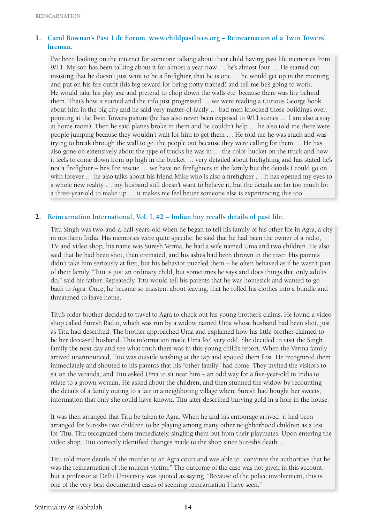# **1. Carol Bownan's Past Life Forum***,* **www.childpastlives.org – Reincarnation of a Twin Towers' fireman.**

I've been looking on the internet for someone talking about their child having past life memories from 9/11. My son has been talking about it for almost a year now … he's almost four … He started out insisting that he doesn't just want to be a firefighter, that he is one … he would get up in the morning and put on his fire outfit (his big reward for being potty trained) and tell me he's going to work. He would take his play axe and pretend to chop down the walls etc. because there was fire behind them. That's how it started and the info just progressed … we were reading a Curious George book about him in the big city and he said very matter-of-factly … bad men knocked those buildings over, pointing at the Twin Towers picture (he has also never been exposed to 9/11 scenes … I am also a stay at home mom). Then he said planes broke in them and he couldn't help … he also told me there were people jumping because they wouldn't wait for him to get them … He told me he was stuck and was trying to break through the wall to get the people out because they were calling for them … He has also gone on extensively about the type of trucks he was in … the color bucket on the truck and how it feels to come down from up high in the bucket … very detailed about firefighting and has stated he's not a firefighter – he's fire rescue … we have no firefighters in the family but the details I could go on with forever … he also talks about his friend Mike who is also a firefighter … It has opened my eyes to a whole new reality … my husband still doesn't want to believe it, but the details are far too much for a three-year-old to make up … it makes me feel better someone else is experiencing this too.

# **2. Reincarnation International, Vol. I, #2 – Indian boy recalls details of past life.**

Titu Singh was two-and-a-half-years-old when he began to tell his family of his other life in Agra, a city in northern India. His memories were quite specific: he said that he had been the owner of a radio, TV and video shop, his name was Suresh Verma, he had a wife named Uma and two children. He also said that he had been shot, then cremated, and his ashes had been thrown in the river. His parents didn't take him seriously at first, but his behavior puzzled them – he often behaved as if he wasn't part of their family. "Titu is just an ordinary child, but sometimes he says and does things that only adults do," said his father. Repeatedly, Titu would tell his parents that he was homesick and wanted to go back to Agra. Once, he became so insistent about leaving, that he rolled his clothes into a bundle and threatened to leave home.

Titu's older brother decided to travel to Agra to check out his young brother's claims. He found a video shop called Suresh Radio, which was run by a widow named Uma whose husband had been shot, just as Titu had described. The brother approached Uma and explained how his little brother claimed to be her deceased husband. This information made Uma feel very odd. She decided to visit the Singh family the next day and see what truth there was in this young child's report. When the Verma family arrived unannounced, Titu was outside washing at the tap and spotted them first. He recognized them immediately and shouted to his parents that his "other family" had come. They invited the visitors to sit on the veranda, and Titu asked Uma to sit near him – an odd way for a five-year-old in India to relate to a grown woman. He asked about the children, and then stunned the widow by recounting the details of a family outing to a fair in a neighboring village where Suresh had bought her sweets, information that only she could have known. Titu later described burying gold in a hole in the house.

It was then arranged that Titu be taken to Agra. When he and his entourage arrived, it had been arranged for Suresh's two children to be playing among many other neighborhood children as a test for Titu. Titu recognized them immediately, singling them out from their playmates. Upon entering the video shop, Titu correctly identified changes made to the shop since Suresh's death …

Titu told more details of the murder to an Agra court and was able to "convince the authorities that he was the reincarnation of the murder victim." The outcome of the case was not given in this account, but a professor at Delhi University was quoted as saying, "Because of the police involvement, this is one of the very best documented cases of seeming reincarnation I have seen."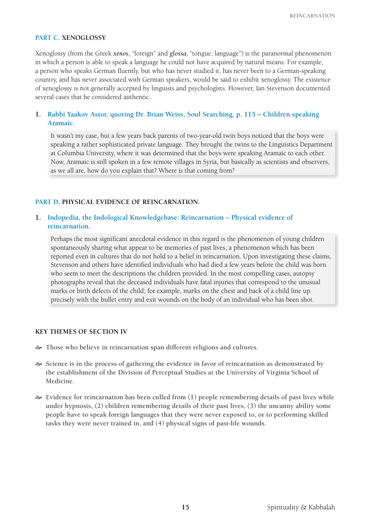#### **Part C. Xenoglossy**

Xenoglossy (from the Greek *xenos*, "foreign" and *glossa*, "tongue, language") is the paranormal phenomenon in which a person is able to speak a language he could not have acquired by natural means. For example, a person who speaks German fluently, but who has never studied it, has never been to a German-speaking country, and has never associated with German speakers, would be said to exhibit xenoglossy. The existence of xenoglossy is not generally accepted by linguists and psychologists. However, Ian Stevenson documented several cases that he considered authentic.

# **1. Rabbi Yaakov Astor, quoting Dr. Brian Weiss, Soul Searching, p. 115 – Children speaking Aramaic.**

It wasn't my case, but a few years back parents of two-year-old twin boys noticed that the boys were speaking a rather sophisticated private language. They brought the twins to the Linguistics Department at Columbia University, where it was determined that the boys were speaking Aramaic to each other. Now, Aramaic is still spoken in a few remote villages in Syria, but basically as scientists and observers, as we all are, how do you explain that? Where is that coming from?

#### **Part D. Physical Evidence of Reincarnation.**

#### **1. Indopedia, the Indological Knowledgebase: Reincarnation – Physical evidence of reincarnation.**

Perhaps the most significant anecdotal evidence in this regard is the phenomenon of young children spontaneously sharing what appear to be memories of past lives, a phenomenon which has been reported even in cultures that do not hold to a belief in reincarnation. Upon investigating these claims, Stevenson and others have identified individuals who had died a few years before the child was born who seem to meet the descriptions the children provided. In the most compelling cases, autopsy photographs reveal that the deceased individuals have fatal injuries that correspond to the unusual marks or birth defects of the child; for example, marks on the chest and back of a child line up precisely with the bullet entry and exit wounds on the body of an individual who has been shot.

#### **Key Themes of Section IV**

- [ **Those who believe in reincarnation span different religions and cultures.**
- [ **Science is in the process of gathering the evidence in favor of reincarnation as demonstrated by the establishment of the Division of Perceptual Studies at the University of Virginia School of Medicine.**
- [ **Evidence for reincarnation has been culled from (1) people remembering details of past lives while under hypnosis, (2) children remembering details of their past lives, (3) the uncanny ability some people have to speak foreign languages that they were never exposed to, or to performing skilled tasks they were never trained in, and (4) physical signs of past-life wounds.**